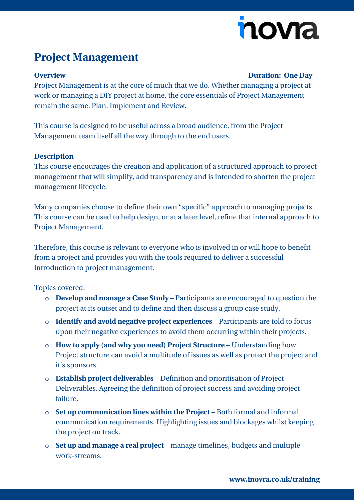# novia

## **Project Management**

### **Overview Duration: One Day**

Project Management is at the core of much that we do. Whether managing a project at work or managing a DIY project at home, the core essentials of Project Management remain the same. Plan, Implement and Review.

This course is designed to be useful across a broad audience, from the Project Management team itself all the way through to the end users.

#### **Description**

This course encourages the creation and application of a structured approach to project management that will simplify, add transparency and is intended to shorten the project management lifecycle.

Many companies choose to define their own "specific" approach to managing projects. This course can be used to help design, or at a later level, refine that internal approach to Project Management.

Therefore, this course is relevant to everyone who is involved in or will hope to benefit from a project and provides you with the tools required to deliver a successful introduction to project management.

Topics covered:

- o **Develop and manage a Case Study** Participants are encouraged to question the project at its outset and to define and then discuss a group case study.
- o **Identify and avoid negative project experiences** Participants are told to focus upon their negative experiences to avoid them occurring within their projects.
- o **How to apply (and why you need) Project Structure** Understanding how Project structure can avoid a multitude of issues as well as protect the project and it's sponsors.
- o **Establish project deliverables** Definition and prioritisation of Project Deliverables. Agreeing the definition of project success and avoiding project failure.
- o **Set up communication lines within the Project** Both formal and informal communication requirements. Highlighting issues and blockages whilst keeping the project on track.
- o **Set up and manage a real project**  manage timelines, budgets and multiple work-streams.